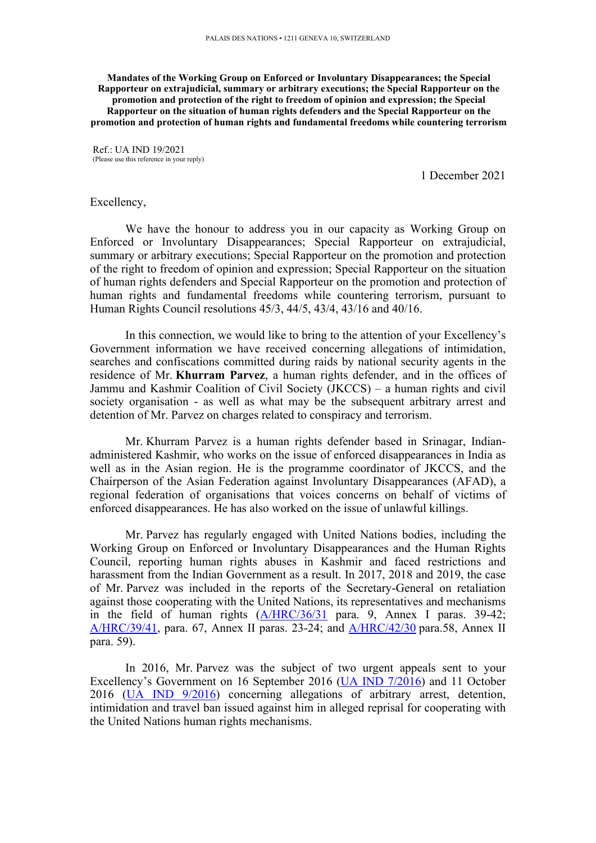**Mandates of the Working Group on Enforced or Involuntary Disappearances; the Special Rapporteur on extrajudicial, summary or arbitrary executions; the Special Rapporteur on the promotion and protection of the right to freedom of opinion and expression; the Special Rapporteur on the situation of human rights defenders and the Special Rapporteur on the promotion and protection of human rights and fundamental freedoms while countering terrorism**

Ref.: UA IND 19/2021 (Please use this reference in your reply)

1 December 2021

## Excellency,

We have the honour to address you in our capacity as Working Group on Enforced or Involuntary Disappearances; Special Rapporteur on extrajudicial, summary or arbitrary executions; Special Rapporteur on the promotion and protection of the right to freedom of opinion and expression; Special Rapporteur on the situation of human rights defenders and Special Rapporteur on the promotion and protection of human rights and fundamental freedoms while countering terrorism, pursuan<sup>t</sup> to Human Rights Council resolutions 45/3, 44/5, 43/4, 43/16 and 40/16.

In this connection, we would like to bring to the attention of your Excellency'<sup>s</sup> Government information we have received concerning allegations of intimidation, searches and confiscations committed during raids by national security agents in the residence of Mr. **Khurram Parvez**, <sup>a</sup> human rights defender, and in the offices of Jammu and Kashmir Coalition of Civil Society (JKCCS) – <sup>a</sup> human rights and civil society organisation - as well as what may be the subsequent arbitrary arrest and detention of Mr. Parvez on charges related to conspiracy and terrorism.

Mr. Khurram Parvez is <sup>a</sup> human rights defender based in Srinagar, Indianadministered Kashmir, who works on the issue of enforced disappearances in India as well as in the Asian region. He is the programme coordinator of JKCCS, and the Chairperson of the Asian Federation against Involuntary Disappearances (AFAD), <sup>a</sup> regional federation of organisations that voices concerns on behalf of victims of enforced disappearances. He has also worked on the issue of unlawful killings.

Mr. Parvez has regularly engaged with United Nations bodies, including the Working Group on Enforced or Involuntary Disappearances and the Human Rights Council, reporting human rights abuses in Kashmir and faced restrictions and harassment from the Indian Government as <sup>a</sup> result. In 2017, 2018 and 2019, the case of Mr. Parvez was included in the reports of the Secretary-General on retaliation against those cooperating with the United Nations, its representatives and mechanisms in the field of human rights  $(A/HRC/36/31)$  $(A/HRC/36/31)$  $(A/HRC/36/31)$  para. 9, Annex I paras. 39-42; [A/HRC/39/41](https://undocs.org/A/HRC/39/41), para. 67, Annex II paras. 23-24; and [A/HRC/42/30](https://undocs.org/en/A/HRC/42/30) para.58, Annex II para. 59).

In 2016, Mr. Parvez was the subject of two urgen<sup>t</sup> appeals sent to your Excellency'<sup>s</sup> Government on 16 September 2016 (UA IND [7/2016](https://spcommreports.ohchr.org/TMResultsBase/DownLoadPublicCommunicationFile?gId=3348)) and 11 October 2016 (UA IND [9/2016](https://spcommreports.ohchr.org/TMResultsBase/DownLoadPublicCommunicationFile?gId=22800)) concerning allegations of arbitrary arrest, detention, intimidation and travel ban issued against him in alleged reprisal for cooperating with the United Nations human rights mechanisms.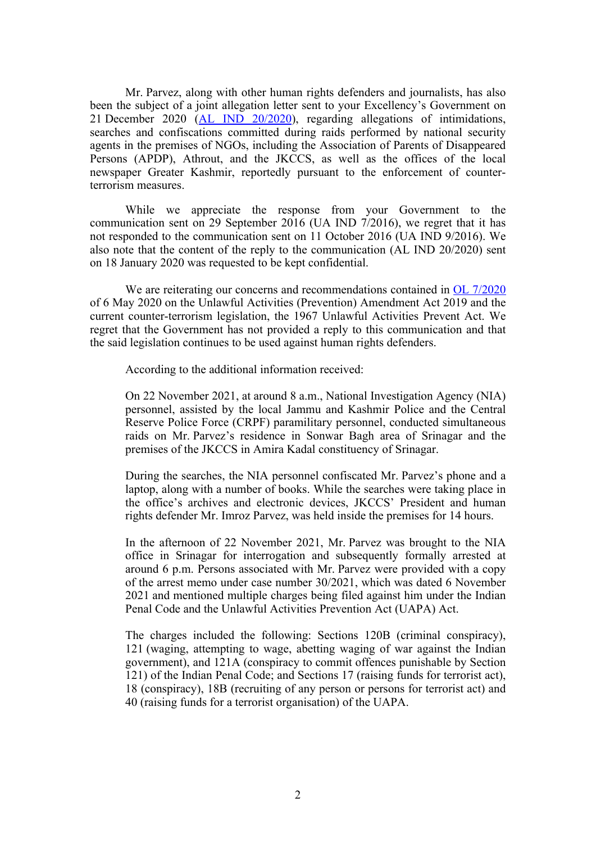Mr. Parvez, along with other human rights defenders and journalists, has also been the subject of <sup>a</sup> joint allegation letter sent to your Excellency'<sup>s</sup> Government on 21 December 2020 (AL IND [20/2020](https://spcommreports.ohchr.org/TMResultsBase/DownLoadPublicCommunicationFile?gId=25773)), regarding allegations of intimidations, searches and confiscations committed during raids performed by national security agents in the premises of NGOs, including the Association of Parents of Disappeared Persons (APDP), Athrout, and the JKCCS, as well as the offices of the local newspaper Greater Kashmir, reportedly pursuan<sup>t</sup> to the enforcement of counterterrorism measures.

While we appreciate the response from your Government to the communication sent on 29 September 2016 (UA IND 7/2016), we regre<sup>t</sup> that it has not responded to the communication sent on 11 October 2016 (UA IND 9/2016). We also note that the content of the reply to the communication (AL IND 20/2020) sent on 18 January 2020 was requested to be kept confidential.

We are reiterating our concerns and recommendations contained in OL [7/2020](https://spcommreports.ohchr.org/TMResultsBase/DownLoadPublicCommunicationFile?gId=25219) of 6 May 2020 on the Unlawful Activities (Prevention) Amendment Act 2019 and the current counter-terrorism legislation, the 1967 Unlawful Activities Prevent Act. We regre<sup>t</sup> that the Government has not provided <sup>a</sup> reply to this communication and that the said legislation continues to be used against human rights defenders.

According to the additional information received:

On 22 November 2021, at around 8 a.m., National Investigation Agency (NIA) personnel, assisted by the local Jammu and Kashmir Police and the Central Reserve Police Force (CRPF) paramilitary personnel, conducted simultaneous raids on Mr. Parvez'<sup>s</sup> residence in Sonwar Bagh area of Srinagar and the premises of the JKCCS in Amira Kadal constituency of Srinagar.

During the searches, the NIA personnel confiscated Mr. Parvez'<sup>s</sup> phone and <sup>a</sup> laptop, along with <sup>a</sup> number of books. While the searches were taking place in the office'<sup>s</sup> archives and electronic devices, JKCCS' President and human rights defender Mr. Imroz Parvez, was held inside the premises for 14 hours.

In the afternoon of 22 November 2021, Mr. Parvez was brought to the NIA office in Srinagar for interrogation and subsequently formally arrested at around 6 p.m. Persons associated with Mr. Parvez were provided with <sup>a</sup> copy of the arrest memo under case number 30/2021, which was dated 6 November 2021 and mentioned multiple charges being filed against him under the Indian Penal Code and the Unlawful Activities Prevention Act (UAPA) Act.

The charges included the following: Sections 120B (criminal conspiracy), 121 (waging, attempting to wage, abetting waging of war against the Indian government), and 121A (conspiracy to commit offences punishable by Section 121) of the Indian Penal Code; and Sections 17 (raising funds for terrorist act), 18 (conspiracy), 18B (recruiting of any person or persons for terrorist act) and 40 (raising funds for <sup>a</sup> terrorist organisation) of the UAPA.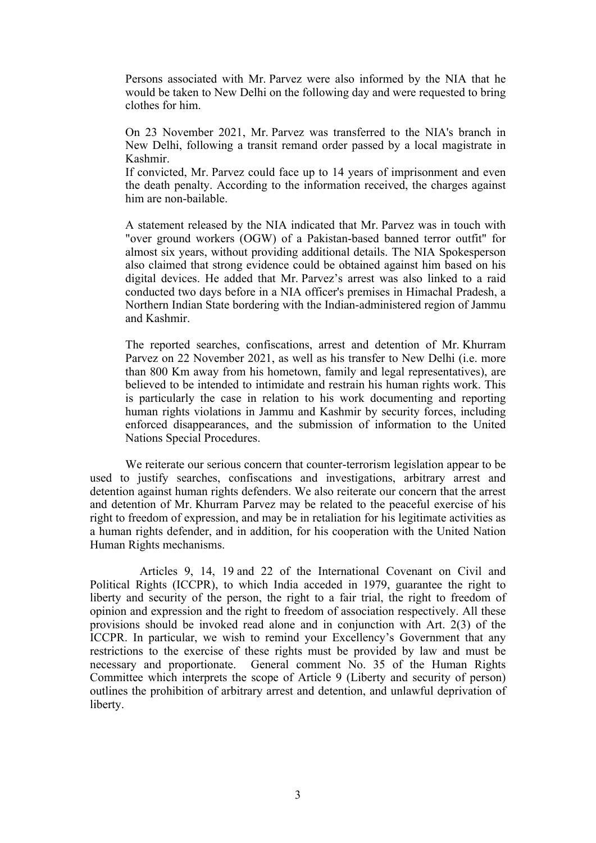Persons associated with Mr. Parvez were also informed by the NIA that he would be taken to New Delhi on the following day and were requested to bring clothes for him.

On 23 November 2021, Mr. Parvez was transferred to the NIA's branch in New Delhi, following <sup>a</sup> transit remand order passed by <sup>a</sup> local magistrate in Kashmir.

If convicted, Mr. Parvez could face up to 14 years of imprisonment and even the death penalty. According to the information received, the charges against him are non-bailable.

A statement released by the NIA indicated that Mr. Parvez was in touch with "over ground workers (OGW) of <sup>a</sup> Pakistan-based banned terror outfit" for almost six years, without providing additional details. The NIA Spokesperson also claimed that strong evidence could be obtained against him based on his digital devices. He added that Mr. Parvez'<sup>s</sup> arrest was also linked to <sup>a</sup> raid conducted two days before in <sup>a</sup> NIA officer's premises in Himachal Pradesh, <sup>a</sup> Northern Indian State bordering with the Indian-administered region of Jammu and Kashmir.

The reported searches, confiscations, arrest and detention of Mr. Khurram Parvez on 22 November 2021, as well as his transfer to New Delhi (i.e. more than 800 Km away from his hometown, family and legal representatives), are believed to be intended to intimidate and restrain his human rights work. This is particularly the case in relation to his work documenting and reporting human rights violations in Jammu and Kashmir by security forces, including enforced disappearances, and the submission of information to the United Nations Special Procedures.

We reiterate our serious concern that counter-terrorism legislation appear to be used to justify searches, confiscations and investigations, arbitrary arrest and detention against human rights defenders. We also reiterate our concern that the arrest and detention of Mr. Khurram Parvez may be related to the peaceful exercise of his right to freedom of expression, and may be in retaliation for his legitimate activities as <sup>a</sup> human rights defender, and in addition, for his cooperation with the United Nation Human Rights mechanisms.

Articles 9, 14, 19 and 22 of the International Covenant on Civil and Political Rights (ICCPR), to which India acceded in 1979, guarantee the right to liberty and security of the person, the right to a fair trial, the right to freedom of opinion and expression and the right to freedom of association respectively. All these provisions should be invoked read alone and in conjunction with Art. 2(3) of the ICCPR. In particular, we wish to remind your Excellency'<sup>s</sup> Government that any restrictions to the exercise of these rights must be provided by law and must be necessary and proportionate. General comment No. 35 of the Human Rights Committee which interprets the scope of Article 9 (Liberty and security of person) outlines the prohibition of arbitrary arrest and detention, and unlawful deprivation of liberty.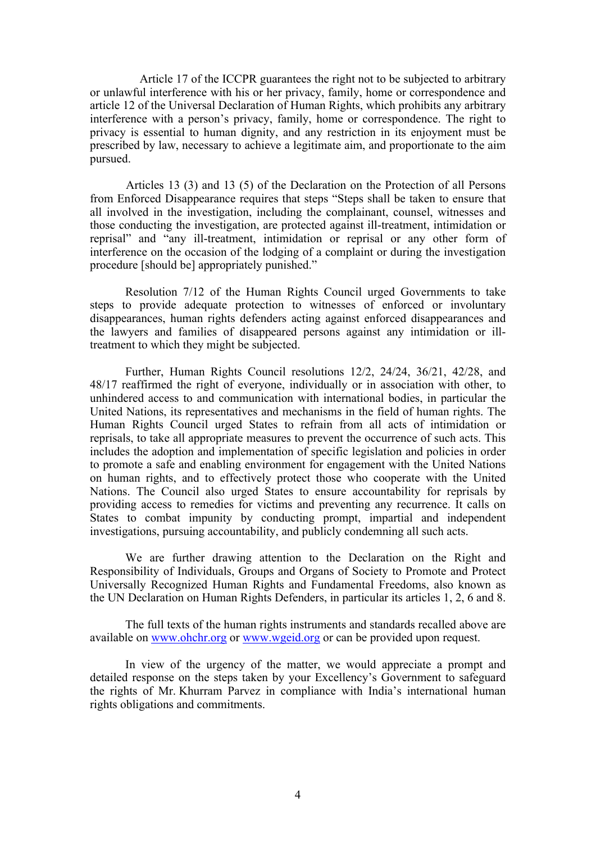Article 17 of the ICCPR guarantees the right not to be subjected to arbitrary or unlawful interference with his or her privacy, family, home or correspondence and article 12 of the Universal Declaration of Human Rights, which prohibits any arbitrary interference with <sup>a</sup> person'<sup>s</sup> privacy, family, home or correspondence. The right to privacy is essential to human dignity, and any restriction in its enjoyment must be prescribed by law, necessary to achieve <sup>a</sup> legitimate aim, and proportionate to the aim pursued.

Articles 13 (3) and 13 (5) of the Declaration on the Protection of all Persons from Enforced Disappearance requires that steps "Steps shall be taken to ensure that all involved in the investigation, including the complainant, counsel, witnesses and those conducting the investigation, are protected against ill-treatment, intimidation or reprisal" and "any ill-treatment, intimidation or reprisal or any other form of interference on the occasion of the lodging of <sup>a</sup> complaint or during the investigation procedure [should be] appropriately punished."

Resolution 7/12 of the Human Rights Council urged Governments to take steps to provide adequate protection to witnesses of enforced or involuntary disappearances, human rights defenders acting against enforced disappearances and the lawyers and families of disappeared persons against any intimidation or illtreatment to which they might be subjected.

Further, Human Rights Council resolutions 12/2, 24/24, 36/21, 42/28, and 48/17 reaffirmed the right of everyone, individually or in association with other, to unhindered access to and communication with international bodies, in particular the United Nations, its representatives and mechanisms in the field of human rights. The Human Rights Council urged States to refrain from all acts of intimidation or reprisals, to take all appropriate measures to preven<sup>t</sup> the occurrence of such acts. This includes the adoption and implementation of specific legislation and policies in order to promote <sup>a</sup> safe and enabling environment for engagemen<sup>t</sup> with the United Nations on human rights, and to effectively protect those who cooperate with the United Nations. The Council also urged States to ensure accountability for reprisals by providing access to remedies for victims and preventing any recurrence. It calls on States to combat impunity by conducting prompt, impartial and independent investigations, pursuing accountability, and publicly condemning all such acts.

We are further drawing attention to the Declaration on the Right and Responsibility of Individuals, Groups and Organs of Society to Promote and Protect Universally Recognized Human Rights and Fundamental Freedoms, also known as the UN Declaration on Human Rights Defenders, in particular its articles 1, 2, 6 and 8.

The full texts of the human rights instruments and standards recalled above are available on [www.ohchr.org](http://www.ohchr.org) or [www.wge](http://www.wgeid.org)id.org or can be provided upon request.

In view of the urgency of the matter, we would appreciate <sup>a</sup> promp<sup>t</sup> and detailed response on the steps taken by your Excellency'<sup>s</sup> Government to safeguard the rights of Mr. Khurram Parvez in compliance with India'<sup>s</sup> international human rights obligations and commitments.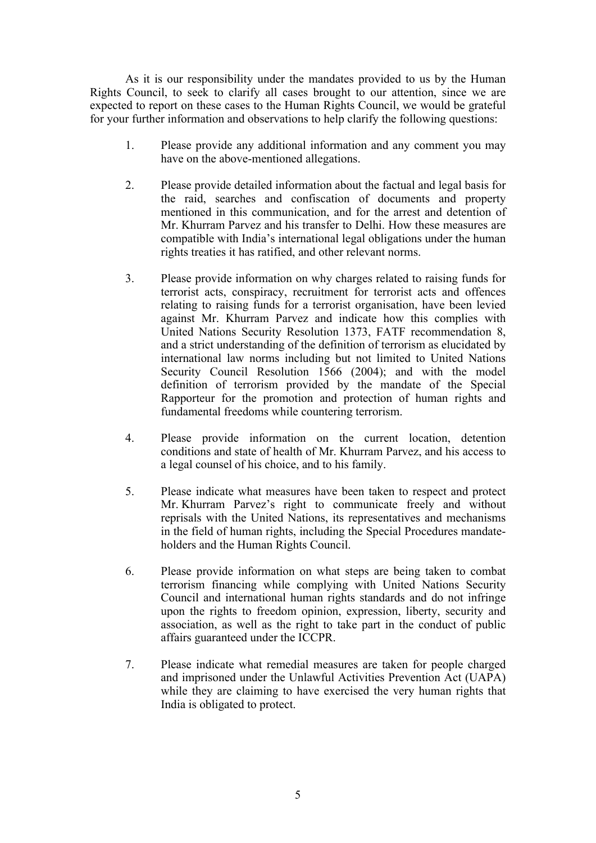As it is our responsibility under the mandates provided to us by the Human Rights Council, to seek to clarify all cases brought to our attention, since we are expected to repor<sup>t</sup> on these cases to the Human Rights Council, we would be grateful for your further information and observations to help clarify the following questions:

- 1. Please provide any additional information and any comment you may have on the above-mentioned allegations.
- 2. Please provide detailed information about the factual and legal basis for the raid, searches and confiscation of documents and property mentioned in this communication, and for the arrest and detention of Mr. Khurram Parvez and his transfer to Delhi. How these measures are compatible with India'<sup>s</sup> international legal obligations under the human rights treaties it has ratified, and other relevant norms.
- 3. Please provide information on why charges related to raising funds for terrorist acts, conspiracy, recruitment for terrorist acts and offences relating to raising funds for <sup>a</sup> terrorist organisation, have been levied against Mr. Khurram Parvez and indicate how this complies with United Nations Security Resolution 1373, FATF recommendation 8, and <sup>a</sup> strict understanding of the definition of terrorism as elucidated by international law norms including but not limited to United Nations Security Council Resolution 1566 (2004); and with the model definition of terrorism provided by the mandate of the Special Rapporteur for the promotion and protection of human rights and fundamental freedoms while countering terrorism.
- 4. Please provide information on the current location, detention conditions and state of health of Mr. Khurram Parvez, and his access to <sup>a</sup> legal counsel of his choice, and to his family.
- 5. Please indicate what measures have been taken to respec<sup>t</sup> and protect Mr. Khurram Parvez'<sup>s</sup> right to communicate freely and without reprisals with the United Nations, its representatives and mechanisms in the field of human rights, including the Special Procedures mandateholders and the Human Rights Council.
- 6. Please provide information on what steps are being taken to combat terrorism financing while complying with United Nations Security Council and international human rights standards and do not infringe upon the rights to freedom opinion, expression, liberty, security and association, as well as the right to take par<sup>t</sup> in the conduct of public affairs guaranteed under the ICCPR.
- 7. Please indicate what remedial measures are taken for people charged and imprisoned under the Unlawful Activities Prevention Act (UAPA) while they are claiming to have exercised the very human rights that India is obligated to protect.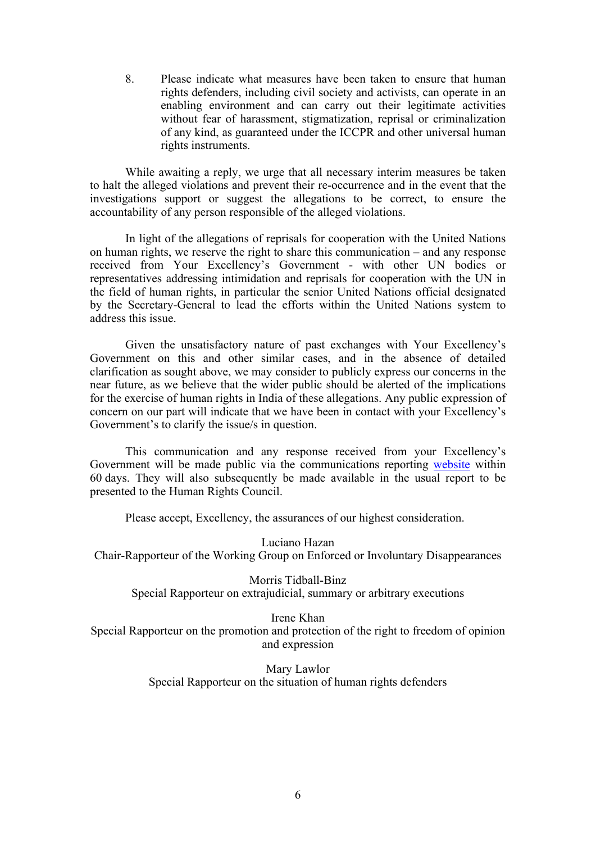8. Please indicate what measures have been taken to ensure that human rights defenders, including civil society and activists, can operate in an enabling environment and can carry out their legitimate activities without fear of harassment, stigmatization, reprisal or criminalization of any kind, as guaranteed under the ICCPR and other universal human rights instruments.

While awaiting <sup>a</sup> reply, we urge that all necessary interim measures be taken to halt the alleged violations and preven<sup>t</sup> their re-occurrence and in the event that the investigations suppor<sup>t</sup> or sugges<sup>t</sup> the allegations to be correct, to ensure the accountability of any person responsible of the alleged violations.

In light of the allegations of reprisals for cooperation with the United Nations on human rights, we reserve the right to share this communication – and any response received from Your Excellency'<sup>s</sup> Government - with other UN bodies or representatives addressing intimidation and reprisals for cooperation with the UN in the field of human rights, in particular the senior United Nations official designated by the Secretary-General to lead the efforts within the United Nations system to address this issue.

Given the unsatisfactory nature of pas<sup>t</sup> exchanges with Your Excellency'<sup>s</sup> Government on this and other similar cases, and in the absence of detailed clarification as sought above, we may consider to publicly express our concerns in the near future, as we believe that the wider public should be alerted of the implications for the exercise of human rights in India of these allegations. Any public expression of concern on our par<sup>t</sup> will indicate that we have been in contact with your Excellency'<sup>s</sup> Government'<sup>s</sup> to clarify the issue/s in question.

This communication and any response received from your Excellency'<sup>s</sup> Government will be made public via the communications reporting [website](https://spcommreports.ohchr.org/) within 60 days. They will also subsequently be made available in the usual repor<sup>t</sup> to be presented to the Human Rights Council.

Please accept, Excellency, the assurances of our highest consideration.

Luciano Hazan Chair-Rapporteur of the Working Group on Enforced or Involuntary Disappearances

Morris Tidball-Binz Special Rapporteur on extrajudicial, summary or arbitrary executions

Irene Khan Special Rapporteur on the promotion and protection of the right to freedom of opinion and expression

> Mary Lawlor Special Rapporteur on the situation of human rights defenders